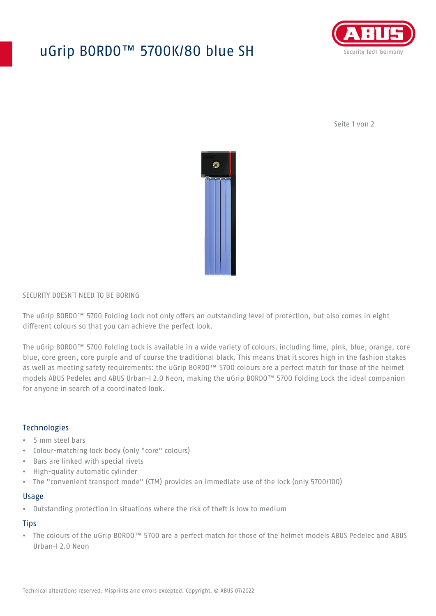# uGrip BORDO™ 5700K/80 blue SH



Seite 1 von 2



#### SECURITY DOESN'T NEED TO BE BORING

The uGrip BORDO™ 5700 Folding Lock not only offers an outstanding level of protection, but also comes in eight different colours so that you can achieve the perfect look.

The uGrip BORDO™ 5700 Folding Lock is available in a wide variety of colours, including lime, pink, blue, orange, core blue, core green, core purple and of course the traditional black. This means that it scores high in the fashion stakes as well as meeting safety requirements: the uGrip BORDO™ 5700 colours are a perfect match for those of the helmet models ABUS Pedelec and ABUS Urban-I 2.0 Neon, making the uGrip BORDO™ 5700 Folding Lock the ideal companion for anyone in search of a coordinated look.

## Technologies

- 5 mm steel bars
- Colour-matching lock body (only "core" colours)
- Bars are linked with special rivets
- High-quality automatic cylinder
- The "convenient transport mode" (CTM) provides an immediate use of the lock (only 5700/100)

#### Usage

• Outstanding protection in situations where the risk of theft is low to medium

## **Tips**

• The colours of the uGrip BORDO™ 5700 are a perfect match for those of the helmet models ABUS Pedelec and ABUS Urban-I 2.0 Neon